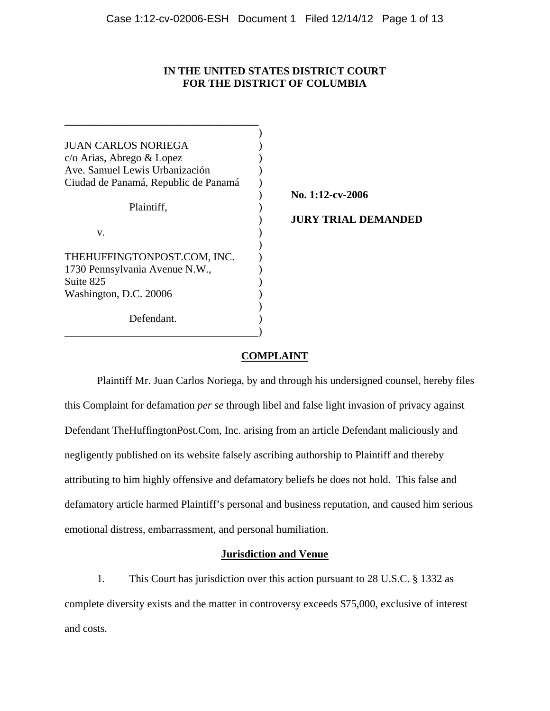# **IN THE UNITED STATES DISTRICT COURT FOR THE DISTRICT OF COLUMBIA**

| <b>JUAN CARLOS NORIEGA</b>           |                            |
|--------------------------------------|----------------------------|
| c/o Arias, Abrego & Lopez            |                            |
| Ave. Samuel Lewis Urbanización       |                            |
| Ciudad de Panamá, Republic de Panamá |                            |
|                                      | No. 1:12-cv-2006           |
| Plaintiff,                           |                            |
|                                      | <b>JURY TRIAL DEMANDED</b> |
| V.                                   |                            |
|                                      |                            |
| THEHUFFINGTONPOST.COM, INC.          |                            |
| 1730 Pennsylvania Avenue N.W.,       |                            |
| Suite 825                            |                            |
| Washington, D.C. 20006               |                            |
|                                      |                            |
| Defendant.                           |                            |
|                                      |                            |

# **COMPLAINT**

Plaintiff Mr. Juan Carlos Noriega, by and through his undersigned counsel, hereby files this Complaint for defamation *per se* through libel and false light invasion of privacy against Defendant TheHuffingtonPost.Com, Inc. arising from an article Defendant maliciously and negligently published on its website falsely ascribing authorship to Plaintiff and thereby attributing to him highly offensive and defamatory beliefs he does not hold. This false and defamatory article harmed Plaintiff's personal and business reputation, and caused him serious emotional distress, embarrassment, and personal humiliation.

# **Jurisdiction and Venue**

1. This Court has jurisdiction over this action pursuant to 28 U.S.C. § 1332 as complete diversity exists and the matter in controversy exceeds \$75,000, exclusive of interest and costs.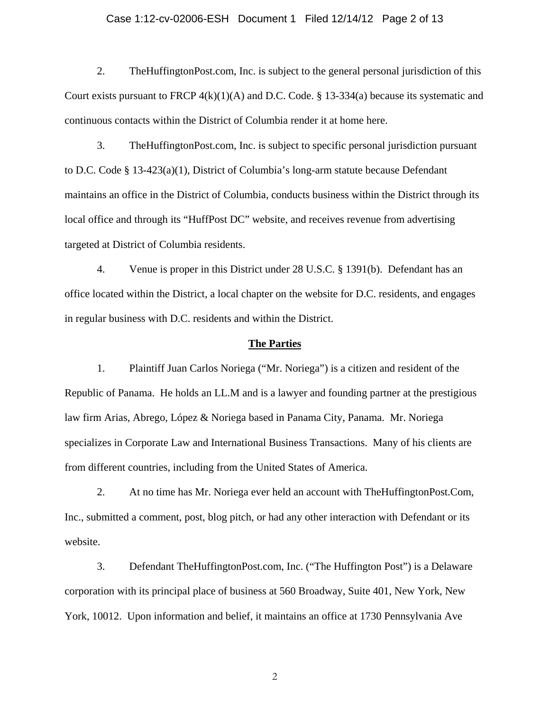## Case 1:12-cv-02006-ESH Document 1 Filed 12/14/12 Page 2 of 13

2. TheHuffingtonPost.com, Inc. is subject to the general personal jurisdiction of this Court exists pursuant to FRCP  $4(k)(1)(A)$  and D.C. Code. § 13-334(a) because its systematic and continuous contacts within the District of Columbia render it at home here.

3. TheHuffingtonPost.com, Inc. is subject to specific personal jurisdiction pursuant to D.C. Code § 13-423(a)(1), District of Columbia's long-arm statute because Defendant maintains an office in the District of Columbia, conducts business within the District through its local office and through its "HuffPost DC" website, and receives revenue from advertising targeted at District of Columbia residents.

4. Venue is proper in this District under 28 U.S.C. § 1391(b). Defendant has an office located within the District, a local chapter on the website for D.C. residents, and engages in regular business with D.C. residents and within the District.

#### **The Parties**

1. Plaintiff Juan Carlos Noriega ("Mr. Noriega") is a citizen and resident of the Republic of Panama. He holds an LL.M and is a lawyer and founding partner at the prestigious law firm Arias, Abrego, López & Noriega based in Panama City, Panama. Mr. Noriega specializes in Corporate Law and International Business Transactions. Many of his clients are from different countries, including from the United States of America.

2. At no time has Mr. Noriega ever held an account with TheHuffingtonPost.Com, Inc., submitted a comment, post, blog pitch, or had any other interaction with Defendant or its website.

3. Defendant TheHuffingtonPost.com, Inc. ("The Huffington Post") is a Delaware corporation with its principal place of business at 560 Broadway, Suite 401, New York, New York, 10012. Upon information and belief, it maintains an office at 1730 Pennsylvania Ave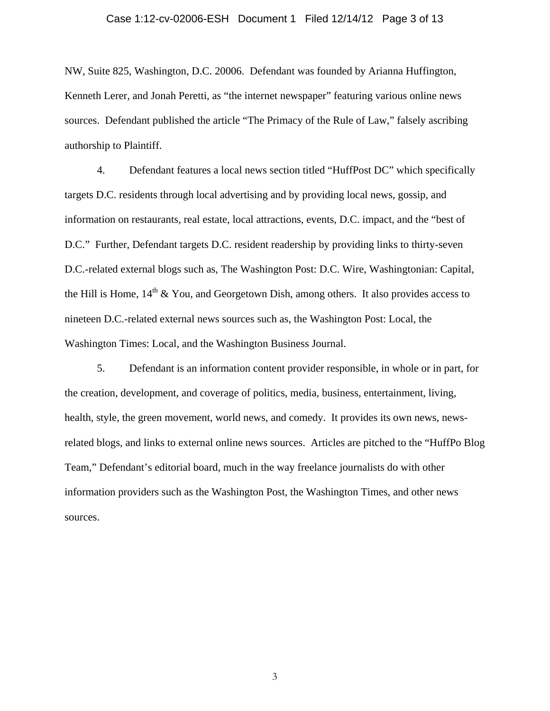## Case 1:12-cv-02006-ESH Document 1 Filed 12/14/12 Page 3 of 13

NW, Suite 825, Washington, D.C. 20006. Defendant was founded by Arianna Huffington, Kenneth Lerer, and Jonah Peretti, as "the internet newspaper" featuring various online news sources. Defendant published the article "The Primacy of the Rule of Law," falsely ascribing authorship to Plaintiff.

4. Defendant features a local news section titled "HuffPost DC" which specifically targets D.C. residents through local advertising and by providing local news, gossip, and information on restaurants, real estate, local attractions, events, D.C. impact, and the "best of D.C." Further, Defendant targets D.C. resident readership by providing links to thirty-seven D.C.-related external blogs such as, The Washington Post: D.C. Wire, Washingtonian: Capital, the Hill is Home,  $14<sup>th</sup>$  & You, and Georgetown Dish, among others. It also provides access to nineteen D.C.-related external news sources such as, the Washington Post: Local, the Washington Times: Local, and the Washington Business Journal.

5. Defendant is an information content provider responsible, in whole or in part, for the creation, development, and coverage of politics, media, business, entertainment, living, health, style, the green movement, world news, and comedy. It provides its own news, newsrelated blogs, and links to external online news sources. Articles are pitched to the "HuffPo Blog Team," Defendant's editorial board, much in the way freelance journalists do with other information providers such as the Washington Post, the Washington Times, and other news sources.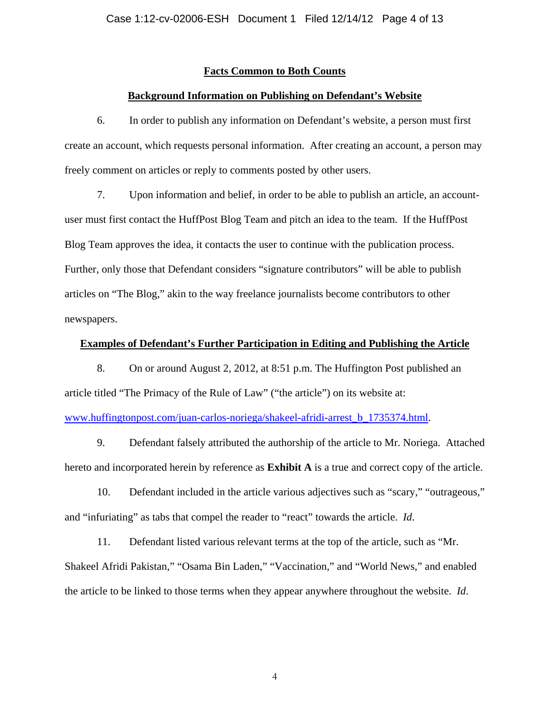## **Facts Common to Both Counts**

#### **Background Information on Publishing on Defendant's Website**

6. In order to publish any information on Defendant's website, a person must first create an account, which requests personal information. After creating an account, a person may freely comment on articles or reply to comments posted by other users.

7. Upon information and belief, in order to be able to publish an article, an accountuser must first contact the HuffPost Blog Team and pitch an idea to the team. If the HuffPost Blog Team approves the idea, it contacts the user to continue with the publication process. Further, only those that Defendant considers "signature contributors" will be able to publish articles on "The Blog," akin to the way freelance journalists become contributors to other newspapers.

## **Examples of Defendant's Further Participation in Editing and Publishing the Article**

8. On or around August 2, 2012, at 8:51 p.m. The Huffington Post published an article titled "The Primacy of the Rule of Law" ("the article") on its website at:

www.huffingtonpost.com/juan-carlos-noriega/shakeel-afridi-arrest\_b\_1735374.html.

9. Defendant falsely attributed the authorship of the article to Mr. Noriega. Attached hereto and incorporated herein by reference as **Exhibit A** is a true and correct copy of the article.

10. Defendant included in the article various adjectives such as "scary," "outrageous," and "infuriating" as tabs that compel the reader to "react" towards the article. *Id*.

11. Defendant listed various relevant terms at the top of the article, such as "Mr. Shakeel Afridi Pakistan," "Osama Bin Laden," "Vaccination," and "World News," and enabled the article to be linked to those terms when they appear anywhere throughout the website. *Id*.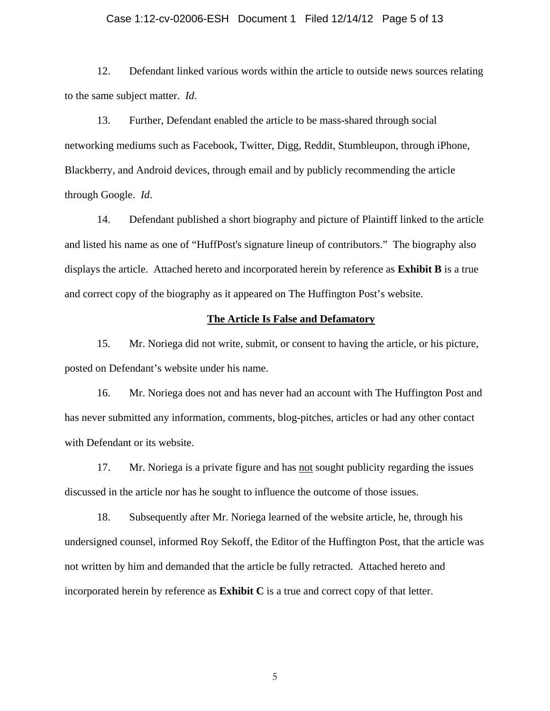## Case 1:12-cv-02006-ESH Document 1 Filed 12/14/12 Page 5 of 13

12. Defendant linked various words within the article to outside news sources relating to the same subject matter. *Id*.

13. Further, Defendant enabled the article to be mass-shared through social networking mediums such as Facebook, Twitter, Digg, Reddit, Stumbleupon, through iPhone, Blackberry, and Android devices, through email and by publicly recommending the article through Google. *Id*.

14. Defendant published a short biography and picture of Plaintiff linked to the article and listed his name as one of "HuffPost's signature lineup of contributors." The biography also displays the article. Attached hereto and incorporated herein by reference as **Exhibit B** is a true and correct copy of the biography as it appeared on The Huffington Post's website.

#### **The Article Is False and Defamatory**

15. Mr. Noriega did not write, submit, or consent to having the article, or his picture, posted on Defendant's website under his name.

16. Mr. Noriega does not and has never had an account with The Huffington Post and has never submitted any information, comments, blog-pitches, articles or had any other contact with Defendant or its website.

17. Mr. Noriega is a private figure and has not sought publicity regarding the issues discussed in the article nor has he sought to influence the outcome of those issues.

18. Subsequently after Mr. Noriega learned of the website article, he, through his undersigned counsel, informed Roy Sekoff, the Editor of the Huffington Post, that the article was not written by him and demanded that the article be fully retracted. Attached hereto and incorporated herein by reference as **Exhibit C** is a true and correct copy of that letter.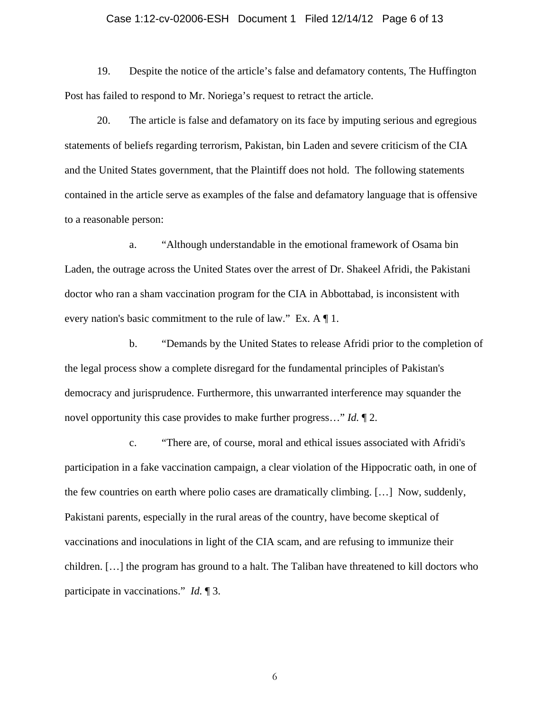## Case 1:12-cv-02006-ESH Document 1 Filed 12/14/12 Page 6 of 13

19. Despite the notice of the article's false and defamatory contents, The Huffington Post has failed to respond to Mr. Noriega's request to retract the article.

20. The article is false and defamatory on its face by imputing serious and egregious statements of beliefs regarding terrorism, Pakistan, bin Laden and severe criticism of the CIA and the United States government, that the Plaintiff does not hold. The following statements contained in the article serve as examples of the false and defamatory language that is offensive to a reasonable person:

a. "Although understandable in the emotional framework of Osama bin Laden, the outrage across the United States over the arrest of Dr. Shakeel Afridi, the Pakistani doctor who ran a sham vaccination program for the CIA in Abbottabad, is inconsistent with every nation's basic commitment to the rule of law." Ex. A ¶ 1.

b. "Demands by the United States to release Afridi prior to the completion of the legal process show a complete disregard for the fundamental principles of Pakistan's democracy and jurisprudence. Furthermore, this unwarranted interference may squander the novel opportunity this case provides to make further progress…" *Id.* ¶ 2.

c. "There are, of course, moral and ethical issues associated with Afridi's participation in a fake vaccination campaign, a clear violation of the Hippocratic oath, in one of the few countries on earth where polio cases are dramatically climbing. […] Now, suddenly, Pakistani parents, especially in the rural areas of the country, have become skeptical of vaccinations and inoculations in light of the CIA scam, and are refusing to immunize their children. […] the program has ground to a halt. The Taliban have threatened to kill doctors who participate in vaccinations." *Id.* ¶ 3.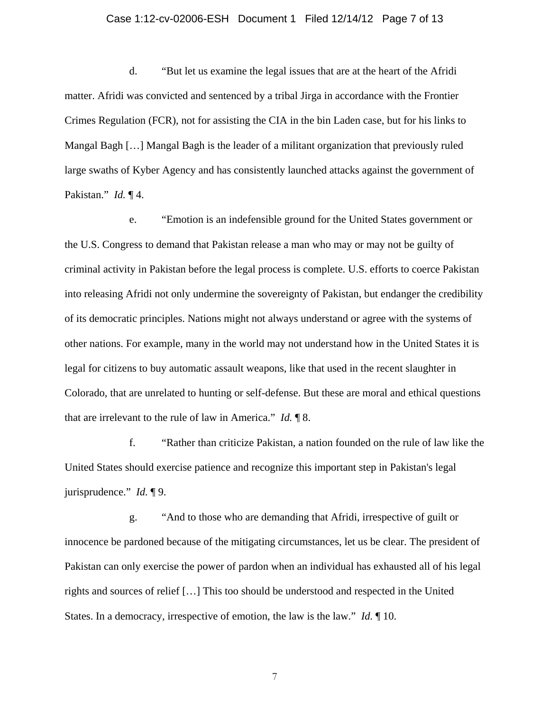#### Case 1:12-cv-02006-ESH Document 1 Filed 12/14/12 Page 7 of 13

d. "But let us examine the legal issues that are at the heart of the Afridi matter. Afridi was convicted and sentenced by a tribal Jirga in accordance with the Frontier Crimes Regulation (FCR), not for assisting the CIA in the bin Laden case, but for his links to Mangal Bagh […] Mangal Bagh is the leader of a militant organization that previously ruled large swaths of Kyber Agency and has consistently launched attacks against the government of Pakistan." *Id.* ¶ 4.

e. "Emotion is an indefensible ground for the United States government or the U.S. Congress to demand that Pakistan release a man who may or may not be guilty of criminal activity in Pakistan before the legal process is complete. U.S. efforts to coerce Pakistan into releasing Afridi not only undermine the sovereignty of Pakistan, but endanger the credibility of its democratic principles. Nations might not always understand or agree with the systems of other nations. For example, many in the world may not understand how in the United States it is legal for citizens to buy automatic assault weapons, like that used in the recent slaughter in Colorado, that are unrelated to hunting or self-defense. But these are moral and ethical questions that are irrelevant to the rule of law in America." *Id.* ¶ 8.

f. "Rather than criticize Pakistan, a nation founded on the rule of law like the United States should exercise patience and recognize this important step in Pakistan's legal jurisprudence." *Id.* ¶ 9.

g. "And to those who are demanding that Afridi, irrespective of guilt or innocence be pardoned because of the mitigating circumstances, let us be clear. The president of Pakistan can only exercise the power of pardon when an individual has exhausted all of his legal rights and sources of relief […] This too should be understood and respected in the United States. In a democracy, irrespective of emotion, the law is the law." *Id.* ¶ 10.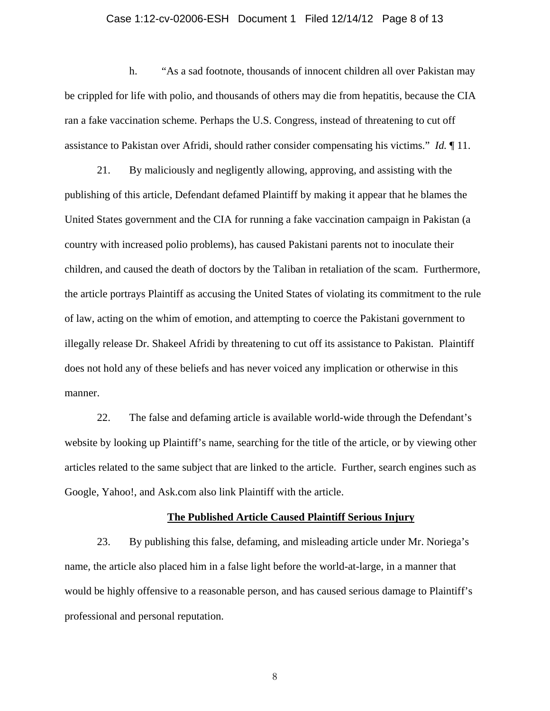## Case 1:12-cv-02006-ESH Document 1 Filed 12/14/12 Page 8 of 13

h. "As a sad footnote, thousands of innocent children all over Pakistan may be crippled for life with polio, and thousands of others may die from hepatitis, because the CIA ran a fake vaccination scheme. Perhaps the U.S. Congress, instead of threatening to cut off assistance to Pakistan over Afridi, should rather consider compensating his victims." *Id.* ¶ 11.

21. By maliciously and negligently allowing, approving, and assisting with the publishing of this article, Defendant defamed Plaintiff by making it appear that he blames the United States government and the CIA for running a fake vaccination campaign in Pakistan (a country with increased polio problems), has caused Pakistani parents not to inoculate their children, and caused the death of doctors by the Taliban in retaliation of the scam. Furthermore, the article portrays Plaintiff as accusing the United States of violating its commitment to the rule of law, acting on the whim of emotion, and attempting to coerce the Pakistani government to illegally release Dr. Shakeel Afridi by threatening to cut off its assistance to Pakistan. Plaintiff does not hold any of these beliefs and has never voiced any implication or otherwise in this manner.

22. The false and defaming article is available world-wide through the Defendant's website by looking up Plaintiff's name, searching for the title of the article, or by viewing other articles related to the same subject that are linked to the article. Further, search engines such as Google, Yahoo!, and Ask.com also link Plaintiff with the article.

#### **The Published Article Caused Plaintiff Serious Injury**

23. By publishing this false, defaming, and misleading article under Mr. Noriega's name, the article also placed him in a false light before the world-at-large, in a manner that would be highly offensive to a reasonable person, and has caused serious damage to Plaintiff's professional and personal reputation.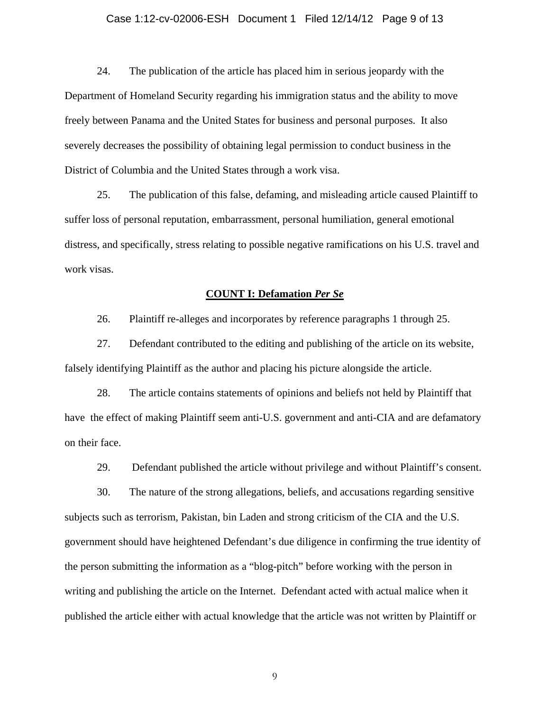## Case 1:12-cv-02006-ESH Document 1 Filed 12/14/12 Page 9 of 13

24. The publication of the article has placed him in serious jeopardy with the Department of Homeland Security regarding his immigration status and the ability to move freely between Panama and the United States for business and personal purposes. It also severely decreases the possibility of obtaining legal permission to conduct business in the District of Columbia and the United States through a work visa.

25. The publication of this false, defaming, and misleading article caused Plaintiff to suffer loss of personal reputation, embarrassment, personal humiliation, general emotional distress, and specifically, stress relating to possible negative ramifications on his U.S. travel and work visas.

#### **COUNT I: Defamation** *Per Se*

26. Plaintiff re-alleges and incorporates by reference paragraphs 1 through 25.

27. Defendant contributed to the editing and publishing of the article on its website, falsely identifying Plaintiff as the author and placing his picture alongside the article.

28. The article contains statements of opinions and beliefs not held by Plaintiff that have the effect of making Plaintiff seem anti-U.S. government and anti-CIA and are defamatory on their face.

29. Defendant published the article without privilege and without Plaintiff's consent.

30. The nature of the strong allegations, beliefs, and accusations regarding sensitive subjects such as terrorism, Pakistan, bin Laden and strong criticism of the CIA and the U.S. government should have heightened Defendant's due diligence in confirming the true identity of the person submitting the information as a "blog-pitch" before working with the person in writing and publishing the article on the Internet. Defendant acted with actual malice when it published the article either with actual knowledge that the article was not written by Plaintiff or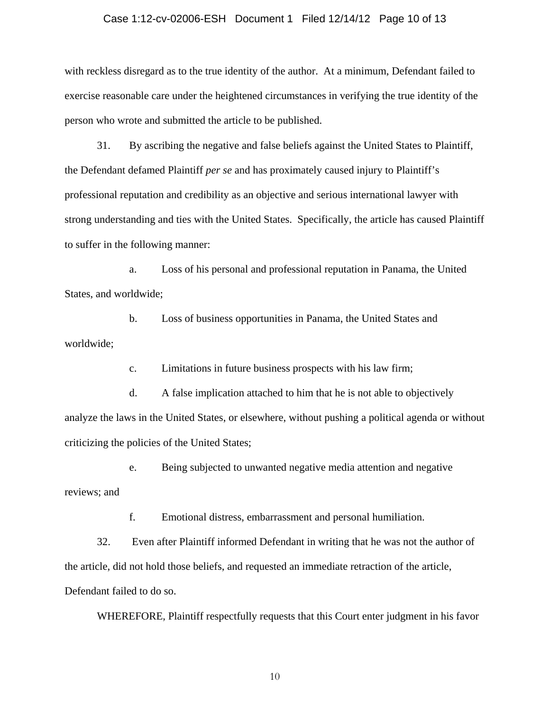#### Case 1:12-cv-02006-ESH Document 1 Filed 12/14/12 Page 10 of 13

with reckless disregard as to the true identity of the author. At a minimum, Defendant failed to exercise reasonable care under the heightened circumstances in verifying the true identity of the person who wrote and submitted the article to be published.

31. By ascribing the negative and false beliefs against the United States to Plaintiff, the Defendant defamed Plaintiff *per se* and has proximately caused injury to Plaintiff's professional reputation and credibility as an objective and serious international lawyer with strong understanding and ties with the United States. Specifically, the article has caused Plaintiff to suffer in the following manner:

a. Loss of his personal and professional reputation in Panama, the United States, and worldwide;

b. Loss of business opportunities in Panama, the United States and worldwide;

c. Limitations in future business prospects with his law firm;

d. A false implication attached to him that he is not able to objectively analyze the laws in the United States, or elsewhere, without pushing a political agenda or without criticizing the policies of the United States;

e. Being subjected to unwanted negative media attention and negative

reviews; and

f. Emotional distress, embarrassment and personal humiliation.

32. Even after Plaintiff informed Defendant in writing that he was not the author of the article, did not hold those beliefs, and requested an immediate retraction of the article, Defendant failed to do so.

WHEREFORE, Plaintiff respectfully requests that this Court enter judgment in his favor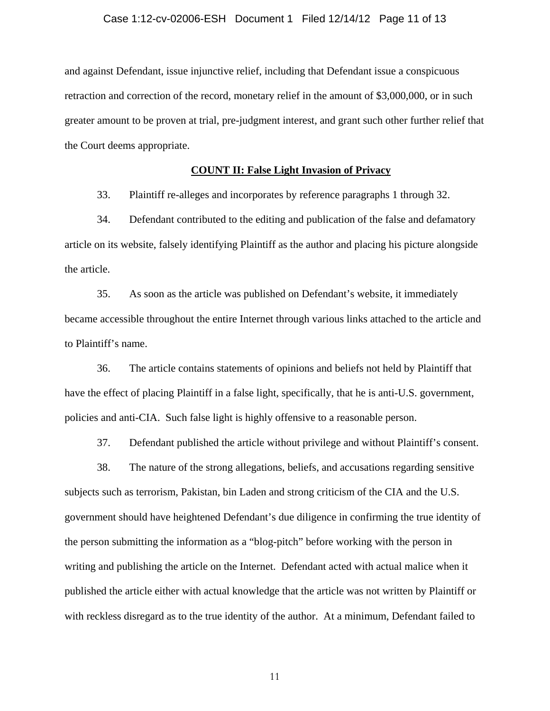#### Case 1:12-cv-02006-ESH Document 1 Filed 12/14/12 Page 11 of 13

and against Defendant, issue injunctive relief, including that Defendant issue a conspicuous retraction and correction of the record, monetary relief in the amount of \$3,000,000, or in such greater amount to be proven at trial, pre-judgment interest, and grant such other further relief that the Court deems appropriate.

# **COUNT II: False Light Invasion of Privacy**

33. Plaintiff re-alleges and incorporates by reference paragraphs 1 through 32.

34. Defendant contributed to the editing and publication of the false and defamatory article on its website, falsely identifying Plaintiff as the author and placing his picture alongside the article.

35. As soon as the article was published on Defendant's website, it immediately became accessible throughout the entire Internet through various links attached to the article and to Plaintiff's name.

36. The article contains statements of opinions and beliefs not held by Plaintiff that have the effect of placing Plaintiff in a false light, specifically, that he is anti-U.S. government, policies and anti-CIA. Such false light is highly offensive to a reasonable person.

37. Defendant published the article without privilege and without Plaintiff's consent.

38. The nature of the strong allegations, beliefs, and accusations regarding sensitive subjects such as terrorism, Pakistan, bin Laden and strong criticism of the CIA and the U.S. government should have heightened Defendant's due diligence in confirming the true identity of the person submitting the information as a "blog-pitch" before working with the person in writing and publishing the article on the Internet. Defendant acted with actual malice when it published the article either with actual knowledge that the article was not written by Plaintiff or with reckless disregard as to the true identity of the author. At a minimum, Defendant failed to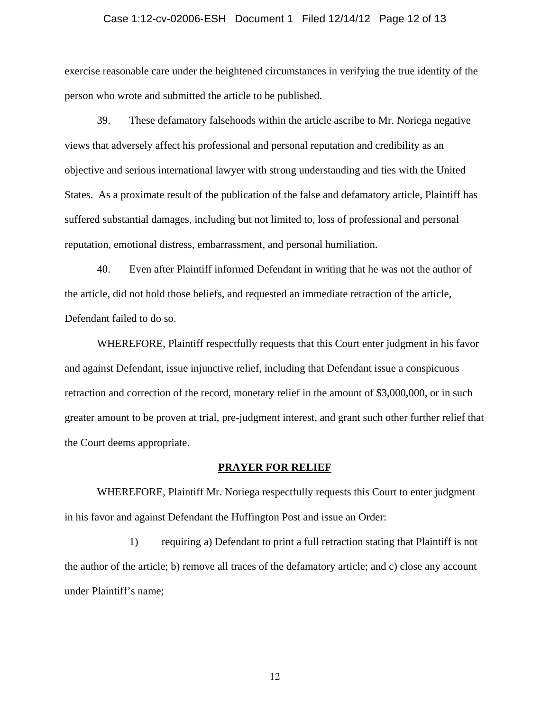#### Case 1:12-cv-02006-ESH Document 1 Filed 12/14/12 Page 12 of 13

exercise reasonable care under the heightened circumstances in verifying the true identity of the person who wrote and submitted the article to be published.

39. These defamatory falsehoods within the article ascribe to Mr. Noriega negative views that adversely affect his professional and personal reputation and credibility as an objective and serious international lawyer with strong understanding and ties with the United States. As a proximate result of the publication of the false and defamatory article, Plaintiff has suffered substantial damages, including but not limited to, loss of professional and personal reputation, emotional distress, embarrassment, and personal humiliation.

40. Even after Plaintiff informed Defendant in writing that he was not the author of the article, did not hold those beliefs, and requested an immediate retraction of the article, Defendant failed to do so.

WHEREFORE, Plaintiff respectfully requests that this Court enter judgment in his favor and against Defendant, issue injunctive relief, including that Defendant issue a conspicuous retraction and correction of the record, monetary relief in the amount of \$3,000,000, or in such greater amount to be proven at trial, pre-judgment interest, and grant such other further relief that the Court deems appropriate.

#### **PRAYER FOR RELIEF**

WHEREFORE, Plaintiff Mr. Noriega respectfully requests this Court to enter judgment in his favor and against Defendant the Huffington Post and issue an Order:

1) requiring a) Defendant to print a full retraction stating that Plaintiff is not the author of the article; b) remove all traces of the defamatory article; and c) close any account under Plaintiff's name;